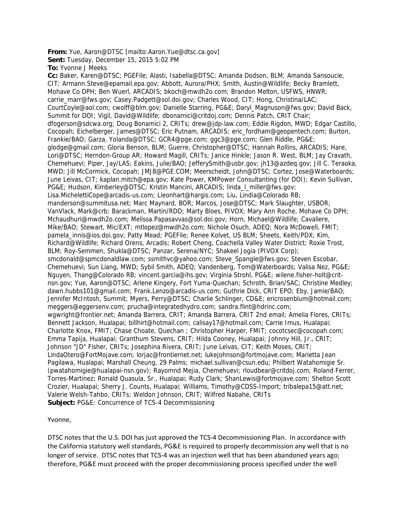**From:** Yue, Aaron@DTSC [mailto:Aaron.Yue@dtsc.ca.gov]

**Sent:** Tuesday, December 15, 2015 5:02 PM

**To:** Yvonne J Meeks

**Cc:** Baker, Karen@DTSC; PGEFile; Alasti, Isabella@DTSC; Amanda Dodson, BLM; Amanda Sansoucie, CIT; Armann.Steve@epamail.epa.gov; Abbott, Aurora/PHX; Smith, Austin@Wildlife; Becky Bramlett, Mohave Co DPH; Ben Wuerl, ARCADIS; bkoch@mwdh2o.com; Brandon Melton, USFWS, HNWR; carrie\_marr@fws.gov; Casey.Padgett@sol.doi.gov; Charles Wood, CIT; Hong, Christina/LAC; CourtCoyle@aol.com; cwolff@blm.gov; Danielle Starring, PG&E; Daryl\_Magnuson@fws.gov; David Back, Summit for DOI; Vigil, David@Wildlife; dbonamici@critdoj.com; Dennis Patch, CRIT Chair; dfogerson@sdcwa.org; Doug Bonamici 2, CRITs; drew@jdp-law.com; Eddie Rigdon, MWD; Edgar Castillo, Cocopah; Eichelberger, James@DTSC; Eric Putnam, ARCADIS; eric\_fordham@geopentech.com; Burton, Frankie/BAO; Garza, Yolanda@DTSC; GCR4@pge.com; ggc3@pge.com; Glen Riddle, PG&E; glodge@gmail.com; Gloria Benson, BLM; Guerre, Christopher@DTSC; Hannah Rollins, ARCADIS; Hare, Lori@DTSC; Herndon-Group AR; Howard Magill, CRITs; Janice Hinkle; Jason R. West, BLM; Jay Cravath, Chemehuevi; Piper, Jay/LAS; Eakins, Julie/BAO; JefferySmith@usbr.gov; jh13@azdeq.gov; Jill C. Teraoka, MWD; Jill McCormick, Cocopah; JMJ8@PGE.COM; Meerscheidt, John@DTSC; Cortez, Jose@Waterboards; June Leivas, CIT; kaplan.mitch@epa.gov; Kate Power, KMPower Consultanting (for DOI); Kevin Sullivan, PG&E; Hudson, Kimberley@DTSC; Kristin Mancini, ARCADIS; linda\_l\_miller@fws.gov; Lisa.MichelettiCope@arcadis-us.com; Lleonhart@hargis.com; Liu, Lindia@Colorado RB; manderson@summitusa.net; Marc Maynard, BOR; Marcos, Jose@DTSC; Mark Slaughter, USBOR; VanVlack, Mark@crb; Barackman, Martin/RDD; Marty Bloes, PIVOX; Mary Ann Roche, Mohave Co DPH; Mchaudhuri@mwdh2o.com; Melissa.Papasavvas@sol.doi.gov; Horn, Michael@Wildlife; Cavaliere, Mike/BAO; Stewart, Mic/EXT; mtlopez@mwdh2o.com; Nichole Osuch, ADEQ; Nora McDowell, FMIT; pamela\_innis@ios.doi.gov; Patty Mead; PGEFile; Renee Kolvet, US BLM; Sheets, Keith/PDX; Kim, Richard@Wildlife; Richard Orens, Arcadis; Robert Cheng, Coachella Valley Water District; Roxie Trost, BLM; Roy-Semmen, Shukla@DTSC; Panzar, Serena/NYC; Shakeel Jogia (PIVOX Corp); smcdonald@spmcdonaldlaw.com; ssmithvc@yahoo.com; Steve\_Spangle@fws.gov; Steven Escobar, Chemehuevi; Sun Liang, MWD; Sybil Smith, ADEQ; Vandenberg, Tom@Waterboards; Valisa Nez, PG&E; Nguyen, Thang@Colorado RB; vincent.garcia@ihs.gov; Virginia Strohl, PG&E; wilene.fisher-holt@critnsn.gov; Yue, Aaron@DTSC; Arlene Kingery, Fort Yuma-Quechan; Schroth, Brian/SAC; Christine Medley; dawn.hubbs101@gmail.com; Frank.Lenzo@arcadis-us.com; Guthrie Dick, CRIT EPO; Eby, Jamie/BAO; Jennifer McIntosh, Summit; Myers, Perry@DTSC; Charlie Schlinger, CD&E; ericrosenblum@hotmail.com; meggers@eggersenv.com; prucha@integratedhydro.com; sandra.flint@hdrinc.com; wgwright@frontier.net; Amanda Barrera, CRIT; Amanda Barrera, CRIT 2nd email; Amelia Flores, CRITs; Bennett Jackson, Hualapai; billhirt@hotmail.com; calisay17@hotmail.com; Carrie Imus, Hualapai; Charlotte Knox, FMIT; Chase Choate, Quechan ; Christopher Harper, FMIT; cocotcsec@cocopah.com; Emma Tapija, Hualapai; Granthum Stevens, CRIT; Hilda Cooney, Hualapai; Johnny Hill, Jr., CRIT; Johnson "JD" Fisher, CRITs; Josephina Rivera, CRIT; June Leivas, CIT; Keith Moses, CRIT; LindaOtero@FortMojave.com; lorjac@frontiernet.net; lukejohnson@fortmojave.com; Marietta Jean Pagilawa, Hualapai; Marshall Cheung, 29 Palms; michael.sullivan@csun.edu; Philbert Watahomigie Sr. (pwatahomigie@hualapai-nsn.gov); Rayomnd Mejia, Chemehuevi; rloudbear@critdoj.com; Roland Ferrer, Torres-Martinez; Ronald Quasula, Sr., Hualapai; Rudy Clark; ShanLewis@fortmojave.com; Shelton Scott Crozier, Hualapai; Sherry J. Counts, Hualapai; Williams, Timothy@CDSS-Import; tribalepa15@att.net; Valerie Welsh-Tahbo, CRITs; Weldon Johnson, CRIT; Wilfred Nabahe, CRITs **Subject:** PG&E: Concurrence of TCS-4 Decommissioning

Yvonne,

DTSC notes that the U.S. DOI has just approved the TCS‐4 Decommissioning Plan. In accordance with the California statutory well standards, PG&E is required to properly decommission any well that is no longer of service. DTSC notes that TCS-4 was an injection well that has been abandoned years ago; therefore, PG&E must proceed with the proper decommissioning process specified under the well